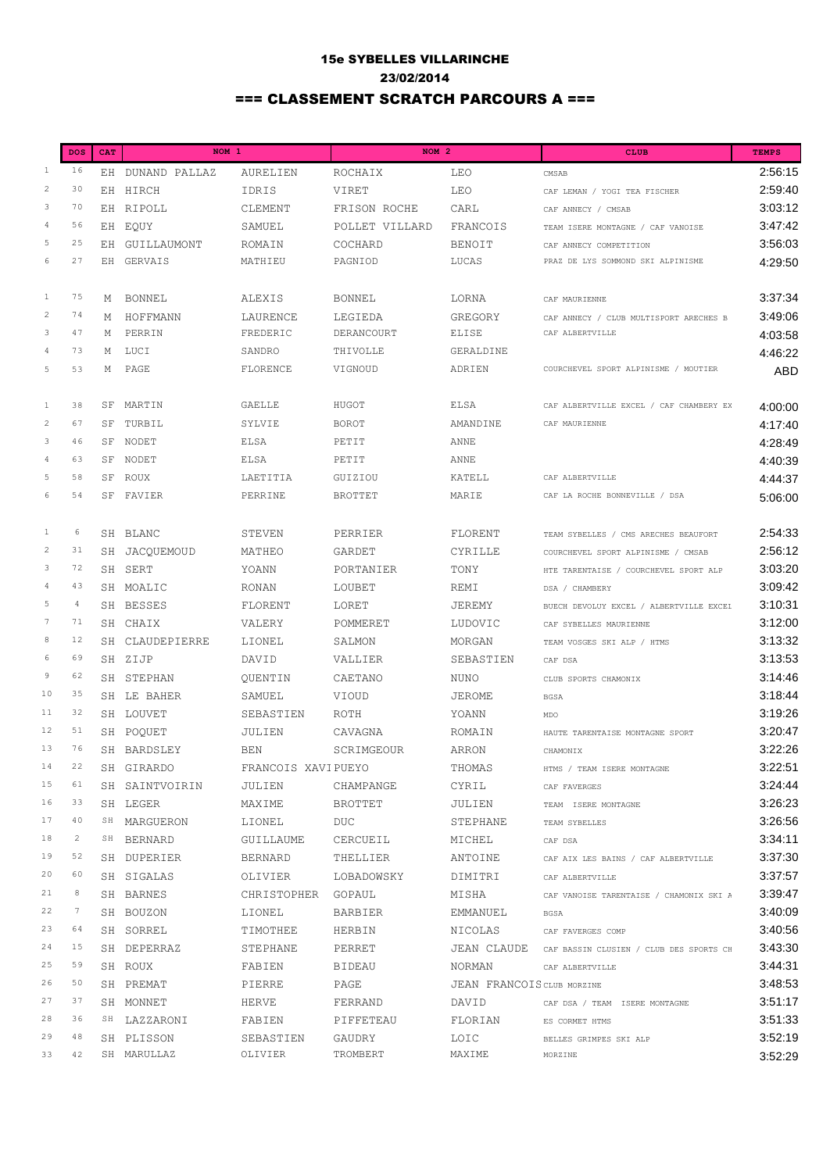## 15e SYBELLES VILLARINCHE 23/02/2014 === CLASSEMENT SCRATCH PARCOURS A ===

|                           | <b>DOS</b>     | <b>CAT</b> | NOM <sub>1</sub> |                    | NOM <sub>2</sub> |                            | <b>CLUB</b>                                         | <b>TEMPS</b> |
|---------------------------|----------------|------------|------------------|--------------------|------------------|----------------------------|-----------------------------------------------------|--------------|
| $\mathbf{1}$              | 16             | ЕH         | DUNAND PALLAZ    | AURELIEN           | ROCHAIX          | LEO                        | CMSAB                                               | 2:56:15      |
| $\overline{c}$            | 30             |            | EH HIRCH         | IDRIS              | VIRET            | LEO                        | CAF LEMAN / YOGI TEA FISCHER                        | 2:59:40      |
| 3                         | 70             |            | EH RIPOLL        | CLEMENT            | FRISON ROCHE     | CARL                       | CAF ANNECY / CMSAB                                  | 3:03:12      |
| $\overline{4}$            | 56             |            | EH EQUY          | SAMUEL             | POLLET VILLARD   | FRANCOIS                   | TEAM ISERE MONTAGNE / CAF VANOISE                   | 3:47:42      |
| $\overline{5}$            | 25             |            | EH GUILLAUMONT   | ROMAIN             | COCHARD          | <b>BENOIT</b>              | CAF ANNECY COMPETITION                              | 3:56:03      |
| 6                         | 27             |            | EH GERVAIS       | MATHIEU            | PAGNIOD          | LUCAS                      | PRAZ DE LYS SOMMOND SKI ALPINISME                   | 4:29:50      |
|                           |                |            |                  |                    |                  |                            |                                                     |              |
| $\mathbf{1}$              | 75             | М          | BONNEL           | ALEXIS             | <b>BONNEL</b>    | LORNA                      | CAF MAURIENNE                                       | 3:37:34      |
| $\sqrt{2}$                | 74             | М          | HOFFMANN         | LAURENCE           | LEGIEDA          | GREGORY                    | CAF ANNECY / CLUB MULTISPORT ARECHES B              | 3:49:06      |
| $\ensuremath{\mathsf{3}}$ | 47             | М          | PERRIN           | FREDERIC           | DERANCOURT       | <b>ELISE</b>               | CAF ALBERTVILLE                                     | 4:03:58      |
| $\overline{4}$            | 73             | Μ          | LUCI             | SANDRO             | THIVOLLE         | GERALDINE                  |                                                     | 4:46:22      |
| 5                         | 53             | Μ          | PAGE             | FLORENCE           | VIGNOUD          | ADRIEN                     | COURCHEVEL SPORT ALPINISME / MOUTIER                | <b>ABD</b>   |
|                           |                |            |                  |                    |                  |                            |                                                     |              |
| $\mathbf{1}$              | 38             | SF         | MARTIN           | GAELLE             | HUGOT            | ELSA                       | CAF ALBERTVILLE EXCEL / CAF CHAMBERY EX             | 4:00:00      |
| $\sqrt{2}$                | 67             | SF         | TURBIL           | SYLVIE             | <b>BOROT</b>     | AMANDINE                   | CAF MAURIENNE                                       | 4:17:40      |
| $\ensuremath{\mathsf{3}}$ | 46             | SF         | NODET            | <b>ELSA</b>        | PETIT            | ANNE                       |                                                     | 4:28:49      |
| $\sqrt{4}$                | 63             | SF         | NODET            | <b>ELSA</b>        | PETIT            | ANNE                       |                                                     | 4:40:39      |
| $\overline{5}$            | 58             | SF         | ROUX             | LAETITIA           | GUIZIOU          | KATELL                     | CAF ALBERTVILLE                                     | 4:44:37      |
| $\epsilon$                | 54             | SF         | FAVIER           | PERRINE            | <b>BROTTET</b>   | MARTE                      | CAF LA ROCHE BONNEVILLE / DSA                       | 5:06:00      |
|                           |                |            |                  |                    |                  |                            |                                                     |              |
| $\mathbf{1}$              | 6              |            | SH BLANC         | STEVEN             | PERRIER          | FLORENT                    | TEAM SYBELLES / CMS ARECHES BEAUFORT                | 2:54:33      |
| $\sqrt{2}$                | 31             |            | SH JACQUEMOUD    | MATHEO             | GARDET           | CYRILLE                    | COURCHEVEL SPORT ALPINISME / CMSAB                  | 2:56:12      |
| $\mathsf 3$               | 72             |            | SH SERT          | YOANN              | PORTANIER        | TONY                       | HTE TARENTAISE / COURCHEVEL SPORT ALP               | 3:03:20      |
| 4                         | 43             |            | SH MOALIC        | RONAN              | LOUBET           | REMI                       | DSA / CHAMBERY                                      | 3:09:42      |
| $\overline{5}$            | $\overline{4}$ |            | SH BESSES        | FLORENT            | LORET            | JEREMY                     | BUECH DEVOLUY EXCEL / ALBERTVILLE EXCEL             | 3:10:31      |
| $\tau$                    | 71             |            | SH CHAIX         | VALERY             | POMMERET         | LUDOVIC                    | CAF SYBELLES MAURIENNE                              | 3:12:00      |
| $\,$ 8 $\,$               | 12             |            | SH CLAUDEPIERRE  | LIONEL             | SALMON           | MORGAN                     | TEAM VOSGES SKI ALP / HTMS                          | 3:13:32      |
| 6                         | 69             |            | SH ZIJP          | DAVID              | VALLIER          | SEBASTIEN                  | CAF DSA                                             | 3:13:53      |
| $\,9$                     | 62             |            | SH STEPHAN       | QUENTIN            | CAETANO          | <b>NUNO</b>                | CLUB SPORTS CHAMONIX                                | 3:14:46      |
| 10                        | 35             |            | SH LE BAHER      | SAMUEL             | VIOUD            | JEROME                     | <b>BGSA</b>                                         | 3:18:44      |
| 11                        | 32             |            | SH LOUVET        | SEBASTIEN          | ROTH             | YOANN                      | MDO                                                 | 3:19:26      |
| 12                        | 51             |            | SH POQUET        | JULIEN             | CAVAGNA          | ROMAIN                     | HAUTE TARENTAISE MONTAGNE SPORT                     | 3:20:47      |
| 13                        | 76             |            | SH BARDSLEY      | <b>BEN</b>         | SCRIMGEOUR       | <b>ARRON</b>               | CHAMONIX                                            | 3:22:26      |
| 14                        | 22             |            | SH GIRARDO       | FRANCOIS XAVIPUEYO |                  | THOMAS                     | HTMS / TEAM ISERE MONTAGNE                          | 3:22:51      |
| 15                        | 61             |            | SH SAINTVOIRIN   | JULIEN             | CHAMPANGE        | CYRIL                      | CAF FAVERGES                                        | 3:24:44      |
| 16                        | 33             |            | SH LEGER         | MAXIME             | <b>BROTTET</b>   | JULIEN                     | TEAM ISERE MONTAGNE                                 | 3:26:23      |
| 17                        | 40             |            | SH MARGUERON     | LIONEL             | DUC.             | STEPHANE                   | TEAM SYBELLES                                       | 3:26:56      |
| 18                        | $\overline{c}$ |            | SH BERNARD       | GUILLAUME          | CERCUEIL         | MICHEL                     | CAF DSA                                             | 3:34:11      |
| 19                        | 52             |            | SH DUPERIER      | <b>BERNARD</b>     | THELLIER         | ANTOINE                    | CAF AIX LES BAINS / CAF ALBERTVILLE                 | 3:37:30      |
| 20                        | 60             |            | SH SIGALAS       | OLIVIER            | LOBADOWSKY       | DIMITRI                    | CAF ALBERTVILLE                                     | 3:37:57      |
| 21                        | 8              |            | SH BARNES        | CHRISTOPHER        | GOPAUL           | MISHA                      | CAF VANOISE TARENTAISE / CHAMONIX SKI A             | 3:39:47      |
| 22                        | 7              |            | SH BOUZON        | LIONEL             | BARBIER          | EMMANUEL                   | <b>BGSA</b>                                         | 3:40:09      |
| 23                        | 64             |            | SH SORREL        | TIMOTHEE           | HERBIN           | NICOLAS                    | CAF FAVERGES COMP                                   | 3:40:56      |
| 24                        | 15             |            | SH DEPERRAZ      | STEPHANE           | PERRET           |                            | JEAN CLAUDE CAF BASSIN CLUSIEN / CLUB DES SPORTS CE | 3:43:30      |
| 25                        | 59             |            | SH ROUX          | FABIEN             | <b>BIDEAU</b>    | NORMAN                     | CAF ALBERTVILLE                                     | 3:44:31      |
| 26                        | 50             |            | SH PREMAT        | PIERRE             | PAGE             | JEAN FRANCOIS CLUB MORZINE |                                                     | 3:48:53      |
| 27                        | 37             |            | SH MONNET        | HERVE              | FERRAND          | DAVID                      | CAF DSA / TEAM ISERE MONTAGNE                       | 3:51:17      |
| 28                        | 36             |            | SH LAZZARONI     | FABIEN             | PIFFETEAU        | FLORIAN                    | ES CORMET HTMS                                      | 3:51:33      |
| 29                        | 48             |            | SH PLISSON       | SEBASTIEN          | GAUDRY           | LOIC                       | BELLES GRIMPES SKI ALP                              | 3:52:19      |
| 33                        | 42             |            | SH MARULLAZ      | OLIVIER            | TROMBERT         | MAXIME                     | MORZINE                                             | 3:52:29      |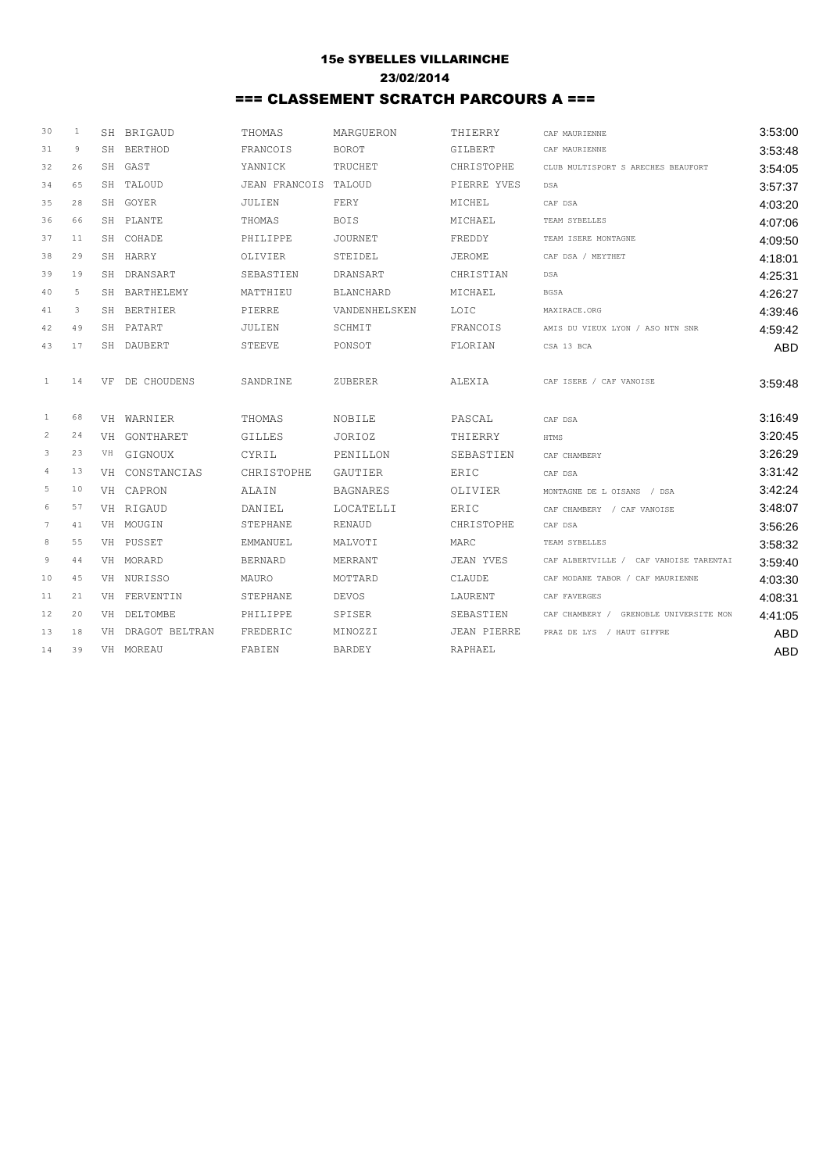## 15e SYBELLES VILLARINCHE 23/02/2014 === CLASSEMENT SCRATCH PARCOURS A ===

| 30              | 1  | SH BRIGAUD        | THOMAS               | MARGUERON        | THIERRY            | CAF MAURIENNE                          | 3:53:00    |
|-----------------|----|-------------------|----------------------|------------------|--------------------|----------------------------------------|------------|
| 31              | 9  | SH BERTHOD        | FRANCOIS             | BOROT            | GILBERT            | CAF MAURIENNE                          | 3:53:48    |
| 32              | 26 | SH GAST           | YANNICK              | TRUCHET          | CHRISTOPHE         | CLUB MULTISPORT S ARECHES BEAUFORT     | 3:54:05    |
| 34              | 65 | SH TALOUD         | JEAN FRANCOIS TALOUD |                  | PIERRE YVES        | DSA                                    | 3:57:37    |
| 35              | 28 | SH GOYER          | JULIEN               | FERY             | MICHEL             | CAF DSA                                | 4:03:20    |
| 36              | 66 | SH PLANTE         | THOMAS               | <b>BOIS</b>      | MICHAEL            | TEAM SYBELLES                          | 4:07:06    |
| 37              | 11 | SH COHADE         | PHILIPPE             | <b>JOURNET</b>   | FREDDY             | TEAM ISERE MONTAGNE                    | 4:09:50    |
| 38              | 29 | SH HARRY          | OLIVIER              | STEIDEL          | <b>JEROME</b>      | CAF DSA / MEYTHET                      | 4:18:01    |
| 39              | 19 | SH DRANSART       | SEBASTIEN            | DRANSART         | CHRISTIAN          | DSA                                    | 4:25:31    |
| 40              | 5  | SH BARTHELEMY     | MATTHIEU             | <b>BLANCHARD</b> | MICHAEL            | <b>BGSA</b>                            | 4:26:27    |
| 41              | 3  | SH BERTHIER       | PIERRE               | VANDENHELSKEN    | LOIC               | MAXIRACE.ORG                           | 4:39:46    |
| 42              | 49 | SH PATART         | JULIEN               | SCHMIT           | FRANCOIS           | AMIS DU VIEUX LYON / ASO NTN SNR       | 4:59:42    |
| 43              | 17 | SH DAUBERT        | <b>STEEVE</b>        | PONSOT           | FLORIAN            | CSA 13 BCA                             | <b>ABD</b> |
|                 |    |                   |                      |                  |                    |                                        |            |
| $\mathbf{1}$    | 14 | VF DE CHOUDENS    | SANDRINE             | ZUBERER          | ALEXIA             | CAF ISERE / CAF VANOISE                | 3:59:48    |
|                 |    |                   |                      |                  |                    |                                        |            |
| $\mathbf{1}$    | 68 | VH WARNIER        | THOMAS               | NOBILE           | PASCAL             | CAF DSA                                | 3:16:49    |
| $\overline{c}$  | 24 | VH GONTHARET      | GILLES               | JORIOZ           | THIERRY            | HTMS                                   | 3:20:45    |
| 3               | 23 | VH GIGNOUX        | CYRIL                | PENILLON         | SEBASTIEN          | CAF CHAMBERY                           | 3:26:29    |
| $\frac{4}{3}$   | 13 | VH CONSTANCIAS    | CHRISTOPHE           | GAUTIER          | ERIC               | CAF DSA                                | 3:31:42    |
| 5               | 10 | VH CAPRON         | <b>ALAIN</b>         | <b>BAGNARES</b>  | <b>OLIVIER</b>     | MONTAGNE DE L OISANS / DSA             | 3:42:24    |
| 6               | 57 | VH RIGAUD         | DANTEL               | LOCATELLI        | <b>ERIC</b>        | CAF CHAMBERY / CAF VANOISE             | 3:48:07    |
| $7\phantom{.0}$ | 41 | VH MOUGIN         | STEPHANE             | <b>RENAUD</b>    | CHRISTOPHE         | CAF DSA                                | 3:56:26    |
| 8               | 55 | VH PUSSET         | EMMANUEL             | MALVOTI          | MARC               | TEAM SYBELLES                          | 3:58:32    |
| 9               | 44 | VH MORARD         | <b>BERNARD</b>       | MERRANT          | JEAN YVES          | CAF ALBERTVILLE / CAF VANOISE TARENTAI | 3:59:40    |
| 10              | 45 | VH NURISSO        | MAURO                | MOTTARD          | CLAUDE             | CAF MODANE TABOR / CAF MAURIENNE       | 4:03:30    |
| 11              | 21 | VH FERVENTIN      | STEPHANE             | <b>DEVOS</b>     | LAURENT            | CAF FAVERGES                           | 4:08:31    |
| 12              | 20 | VH DELTOMBE       | PHILIPPE             | SPISER           | SEBASTIEN          | CAF CHAMBERY / GRENOBLE UNIVERSITE MON | 4:41:05    |
| 13              | 18 | VH DRAGOT BELTRAN | FREDERIC             | MINOZZI          | <b>JEAN PIERRE</b> | PRAZ DE LYS / HAUT GIFFRE              | <b>ABD</b> |
| 14              | 39 | VH MOREAU         | FABIEN               | <b>BARDEY</b>    | RAPHAEL            |                                        | <b>ABD</b> |